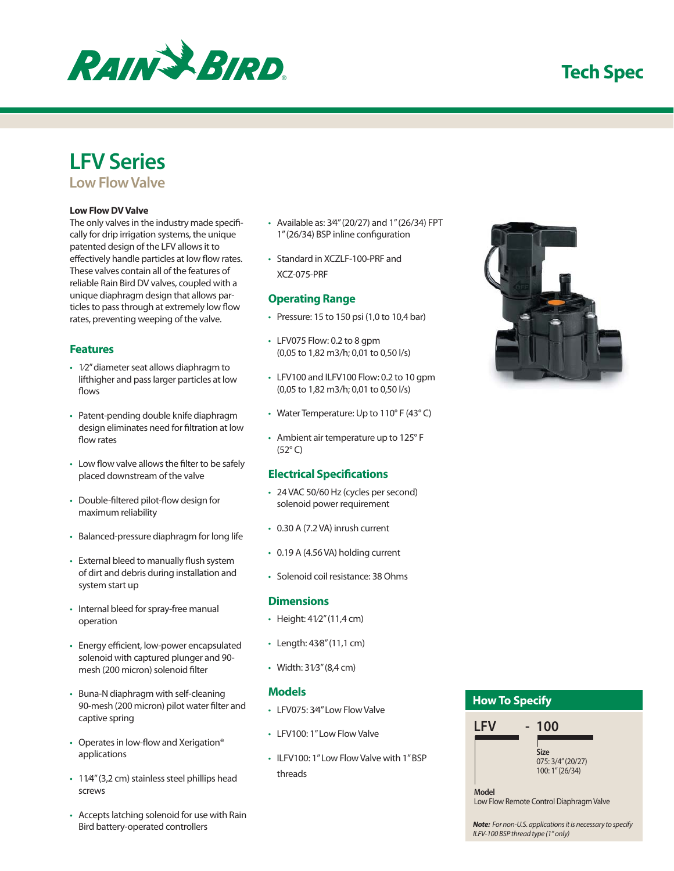# **Tech Spec**



# **LFV Series**

**Low Flow Valve** 

#### **Low Flow DV Valve**

The only valves in the industry made specifically for drip irrigation systems, the unique patented design of the LFV allows it to effectively handle particles at low flow rates. These valves contain all of the features of reliable Rain Bird DV valves, coupled with a unique diaphragm design that allows particles to pass through at extremely low flow rates, preventing weeping of the valve.

## **Features**

- 1⁄2" diameter seat allows diaphragm to lifthigher and pass larger particles at low flows
- Patent-pending double knife diaphragm design eliminates need for filtration at low flow rates
- Low flow valve allows the filter to be safely placed downstream of the valve
- Double-filtered pilot-flow design for maximum reliability
- Balanced-pressure diaphragm for long life
- External bleed to manually flush system of dirt and debris during installation and system start up
- Internal bleed for spray-free manual operation
- Energy efficient, low-power encapsulated solenoid with captured plunger and 90 mesh (200 micron) solenoid filter
- Buna-N diaphragm with self-cleaning 90-mesh (200 micron) pilot water filter and captive spring
- Operates in low-flow and Xerigation® applications
- 11/4" (3,2 cm) stainless steel phillips head screws
- Accepts latching solenoid for use with Rain Bird battery-operated controllers
- Available as: 3⁄4" (20/27) and 1" (26/34) FPT 1" (26/34) BSP inline configuration
- Standard in XCZLF-100-PRF and XCZ-075-PRF

## **Operating Range**

- Pressure: 15 to 150 psi (1,0 to 10,4 bar)
- LFV075 Flow: 0.2 to 8 gpm (0,05 to 1,82 m3/h; 0,01 to 0,50 l/s)
- LFV100 and ILFV100 Flow: 0.2 to 10 gpm (0,05 to 1,82 m3/h; 0,01 to 0,50 l/s)
- Water Temperature: Up to 110° F (43° C)
- Ambient air temperature up to 125° F (52° C)

## **Electrical Specifications**

- 24 VAC 50/60 Hz (cycles per second) solenoid power requirement
- 0.30 A (7.2 VA) inrush current
- 0.19 A (4.56 VA) holding current
- Solenoid coil resistance: 38 Ohms

#### **Dimensions**

- Height: 41⁄2" (11,4 cm)
- Length: 43⁄8" (11,1 cm)
- Width: 31⁄3" (8,4 cm)

## **Models**

- LFV075: 3⁄4" Low Flow Valve
- LFV100: 1" Low Flow Valve
- ILFV100: 1" Low Flow Valve with 1" BSP threads



## **How To Specify LFV - 100 Model Size** 075: 3/4" (20/27) 100: 1" (26/34)

Low Flow Remote Control Diaphragm Valve

*Note:* For non-U.S. applications it is necessary to specify ILFV-100 BSP thread type (1" only)